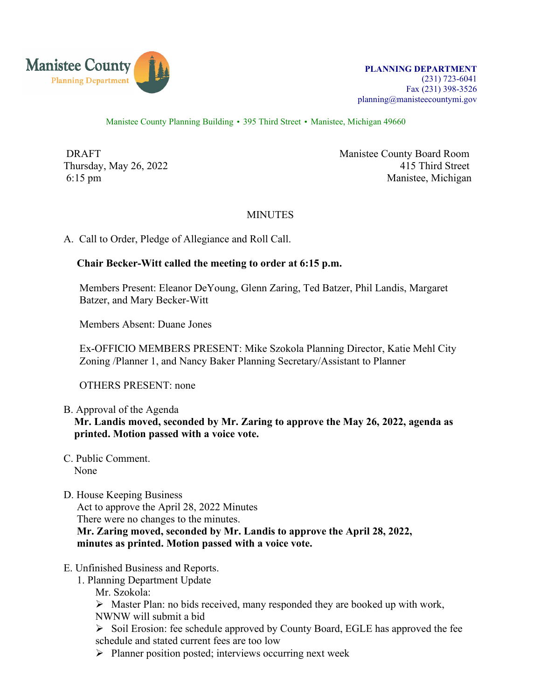

Manistee County Planning Building • 395 Third Street • Manistee, Michigan 49660

DRAFT Manistee County Board Room Thursday, May 26, 2022 415 Third Street 6:15 pm Manistee, Michigan

## **MINUTES**

A. Call to Order, Pledge of Allegiance and Roll Call.

## **Chair Becker-Witt called the meeting to order at 6:15 p.m.**

Members Present: Eleanor DeYoung, Glenn Zaring, Ted Batzer, Phil Landis, Margaret Batzer, and Mary Becker-Witt

Members Absent: Duane Jones

 Ex-OFFICIO MEMBERS PRESENT: Mike Szokola Planning Director, Katie Mehl City Zoning /Planner 1, and Nancy Baker Planning Secretary/Assistant to Planner

OTHERS PRESENT: none

- B. Approval of the Agenda **Mr. Landis moved, seconded by Mr. Zaring to approve the May 26, 2022, agenda as printed. Motion passed with a voice vote.**
- C. Public Comment. None
- D. House Keeping Business

Act to approve the April 28, 2022 Minutes There were no changes to the minutes.  **Mr. Zaring moved, seconded by Mr. Landis to approve the April 28, 2022, minutes as printed. Motion passed with a voice vote.**

#### E. Unfinished Business and Reports.

- 1. Planning Department Update
	- Mr. Szokola:

 $\triangleright$  Master Plan: no bids received, many responded they are booked up with work, NWNW will submit a bid

 $\triangleright$  Soil Erosion: fee schedule approved by County Board, EGLE has approved the fee schedule and stated current fees are too low

 $\triangleright$  Planner position posted; interviews occurring next week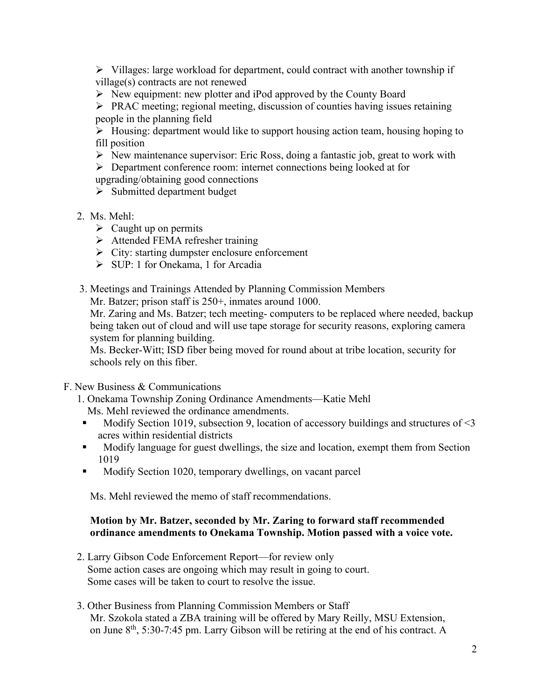$\triangleright$  Villages: large workload for department, could contract with another township if village(s) contracts are not renewed

 $\triangleright$  New equipment: new plotter and iPod approved by the County Board

 $\triangleright$  PRAC meeting; regional meeting, discussion of counties having issues retaining people in the planning field

 $\triangleright$  Housing: department would like to support housing action team, housing hoping to fill position

 $\triangleright$  New maintenance supervisor: Eric Ross, doing a fantastic job, great to work with

Department conference room: internet connections being looked at for

upgrading/obtaining good connections

- $\triangleright$  Submitted department budget
- 2. Ms. Mehl:
	- $\triangleright$  Caught up on permits
	- > Attended FEMA refresher training
	- $\triangleright$  City: starting dumpster enclosure enforcement
	- $\triangleright$  SUP: 1 for Onekama, 1 for Arcadia
- 3. Meetings and Trainings Attended by Planning Commission Members

Mr. Batzer; prison staff is  $250+$ , inmates around 1000.

 Mr. Zaring and Ms. Batzer; tech meeting- computers to be replaced where needed, backup being taken out of cloud and will use tape storage for security reasons, exploring camera system for planning building.

 Ms. Becker-Witt; ISD fiber being moved for round about at tribe location, security for schools rely on this fiber.

- F. New Business & Communications
	- 1. Onekama Township Zoning Ordinance Amendments—Katie Mehl Ms. Mehl reviewed the ordinance amendments.
	- Modify Section 1019, subsection 9, location of accessory buildings and structures of  $\leq$ 3 acres within residential districts
	- Modify language for guest dwellings, the size and location, exempt them from Section 1019
	- Modify Section 1020, temporary dwellings, on vacant parcel

Ms. Mehl reviewed the memo of staff recommendations.

# **Motion by Mr. Batzer, seconded by Mr. Zaring to forward staff recommended ordinance amendments to Onekama Township. Motion passed with a voice vote.**

- 2. Larry Gibson Code Enforcement Report—for review only Some action cases are ongoing which may result in going to court. Some cases will be taken to court to resolve the issue.
- 3. Other Business from Planning Commission Members or Staff Mr. Szokola stated a ZBA training will be offered by Mary Reilly, MSU Extension, on June 8th, 5:30-7:45 pm. Larry Gibson will be retiring at the end of his contract. A